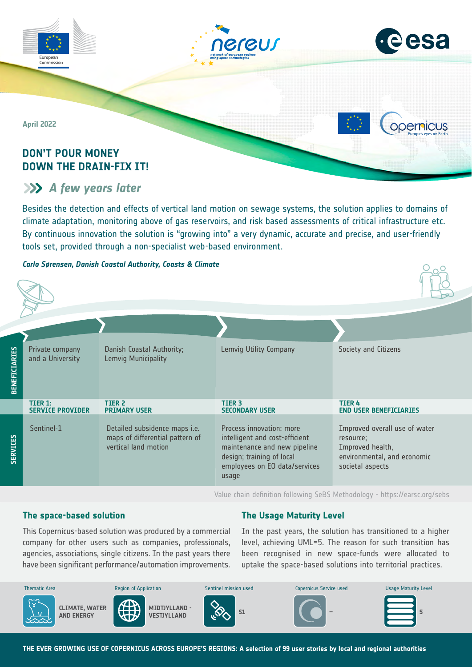



**ODErnicus** 

 $O = O$ 

**April 2022**

# **DON'T POUR MONEY DOWN THE DRAIN-FIX IT!**

# *A few years later*

Besides the detection and effects of vertical land motion on sewage systems, the solution applies to domains of climate adaptation, monitoring above of gas reservoirs, and risk based assessments of critical infrastructure etc. By continuous innovation the solution is "growing into" a very dynamic, accurate and precise, and user-friendly tools set, provided through a non-specialist web-based environment.

# *Carlo Sørensen, Danish Coastal Authority, Coasts & Climate*

| <b>BENEFICIARIES</b> | Private company<br>and a University | Danish Coastal Authority;<br>Lemvig Municipality                                         | Lemvig Utility Company                                                                                                                                            | Society and Citizens                                                                                              |
|----------------------|-------------------------------------|------------------------------------------------------------------------------------------|-------------------------------------------------------------------------------------------------------------------------------------------------------------------|-------------------------------------------------------------------------------------------------------------------|
|                      | TIER 1:<br><b>SERVICE PROVIDER</b>  | <b>TIER 2</b><br><b>PRIMARY USER</b>                                                     | TIER <sub>3</sub><br><b>SECONDARY USER</b>                                                                                                                        | <b>TIER4</b><br><b>END USER BENEFICIARIES</b>                                                                     |
| <b>SERVICES</b>      | Sentinel-1                          | Detailed subsidence maps i.e.<br>maps of differential pattern of<br>vertical land motion | Process innovation: more<br>intelligent and cost-efficient<br>maintenance and new pipeline<br>design; training of local<br>employees on EO data/services<br>usage | Improved overall use of water<br>resource;<br>Improved health,<br>environmental, and economic<br>societal aspects |

Value chain definition following SeBS Methodology -<https://earsc.org/sebs>

# **The space-based solution**

# **The Usage Maturity Level**

This Copernicus-based solution was produced by a commercial company for other users such as companies, professionals, agencies, associations, single citizens. In the past years there have been significant performance/automation improvements.

In the past years, the solution has transitioned to a higher level, achieving UML=5. The reason for such transition has been recognised in new space-funds were allocated to uptake the space-based solutions into territorial practices.

| <b>Thematic Area</b>                                 | <b>Region of Application</b>        | Sentinel mission used | Copernicus Service used  | Usage Maturity Level |
|------------------------------------------------------|-------------------------------------|-----------------------|--------------------------|----------------------|
| $\sim$<br><b>CLIMATE, WATER</b><br><b>AND ENERGY</b> | MIDTJYLLAND -<br><b>VESTJYLLAND</b> | S <sub>1</sub>        | $\overline{\phantom{a}}$ |                      |

**THE EVER GROWING USE OF COPERNICUS ACROSS EUROPE'S REGIONS: A selection of 99 user stories by local and regional authorities**